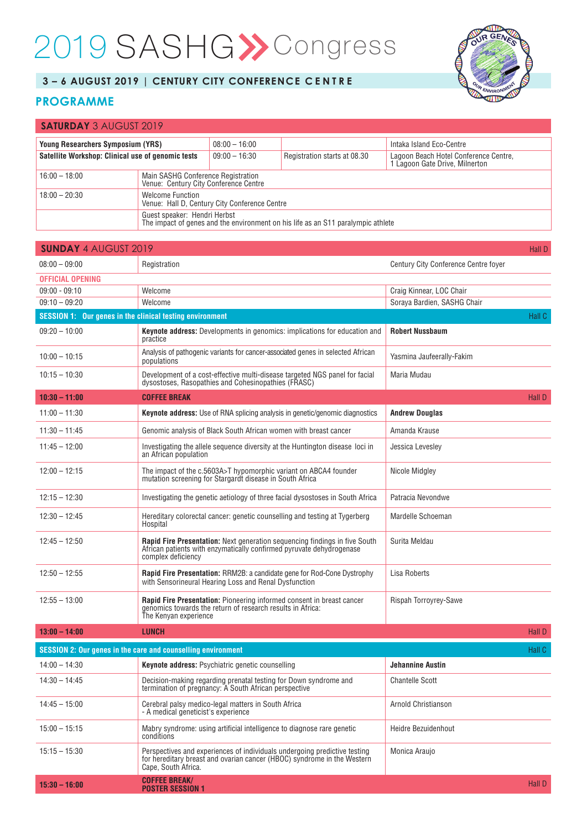## 2019 SASHG>>Congress



## **3 – 6 AUGUST 2019 | CENTURY CITY CONFERENCE C E N T R E**

## **PROGRAMME**

| <b>SATURDAY 3 AUGUST 2019</b>                                                                                    |                                                                             |                 |                              |                                                                       |  |
|------------------------------------------------------------------------------------------------------------------|-----------------------------------------------------------------------------|-----------------|------------------------------|-----------------------------------------------------------------------|--|
| <b>Young Researchers Symposium (YRS)</b>                                                                         |                                                                             | $08:00 - 16:00$ |                              | Intaka Island Eco-Centre                                              |  |
| Satellite Workshop: Clinical use of genomic tests                                                                |                                                                             | $09:00 - 16:30$ | Registration starts at 08.30 | Lagoon Beach Hotel Conference Centre,<br>Lagoon Gate Drive, Milnerton |  |
| $16:00 - 18:00$                                                                                                  | Main SASHG Conference Registration<br>Venue: Century City Conference Centre |                 |                              |                                                                       |  |
| $18:00 - 20:30$                                                                                                  | <b>Welcome Function</b><br>Venue: Hall D. Century City Conference Centre    |                 |                              |                                                                       |  |
| Guest speaker: Hendri Herbst<br>The impact of genes and the environment on his life as an S11 paralympic athlete |                                                                             |                 |                              |                                                                       |  |

| <b>SUNDAY 4 AUGUST 2019</b>                              |                                                                                                                                                                             |                                      | Hall D        |
|----------------------------------------------------------|-----------------------------------------------------------------------------------------------------------------------------------------------------------------------------|--------------------------------------|---------------|
| $08:00 - 09:00$                                          | Registration                                                                                                                                                                | Century City Conference Centre fover |               |
| <b>OFFICIAL OPENING</b>                                  |                                                                                                                                                                             |                                      |               |
| $09:00 - 09:10$                                          | Welcome                                                                                                                                                                     | Craig Kinnear, LOC Chair             |               |
| $09:10 - 09:20$                                          | Welcome                                                                                                                                                                     | Soraya Bardien, SASHG Chair          |               |
| SESSION 1: Our genes in the clinical testing environment |                                                                                                                                                                             |                                      | Hall C        |
| $09:20 - 10:00$                                          | <b>Keynote address:</b> Developments in genomics: implications for education and<br>practice                                                                                | <b>Robert Nussbaum</b>               |               |
| $10:00 - 10:15$                                          | Analysis of pathogenic variants for cancer-associated genes in selected African<br>populations                                                                              | Yasmina Jaufeerally-Fakim            |               |
| $10:15 - 10:30$                                          | Development of a cost-effective multi-disease targeted NGS panel for facial dysostoses, Rasopathies and Cohesinopathies (FRASC)                                             | Maria Mudau                          |               |
| $10:30 - 11:00$                                          | <b>COFFEE BREAK</b>                                                                                                                                                         |                                      | <b>Hall D</b> |
| $11:00 - 11:30$                                          | <b>Keynote address:</b> Use of RNA splicing analysis in genetic/genomic diagnostics                                                                                         | <b>Andrew Douglas</b>                |               |
| $11:30 - 11:45$                                          | Genomic analysis of Black South African women with breast cancer                                                                                                            | Amanda Krause                        |               |
| $11:45 - 12:00$                                          | Investigating the allele sequence diversity at the Huntington disease loci in<br>an African population                                                                      | Jessica Levesley                     |               |
| $12:00 - 12:15$                                          | The impact of the c.5603A>T hypomorphic variant on ABCA4 founder<br>mutation screening for Stargardt disease in South Africa                                                | Nicole Midgley                       |               |
| $12:15 - 12:30$                                          | Investigating the genetic aetiology of three facial dysostoses in South Africa                                                                                              | Patracia Nevondwe                    |               |
| $12:30 - 12:45$                                          | Hereditary colorectal cancer: genetic counselling and testing at Tygerberg<br>Hospital                                                                                      | Mardelle Schoeman                    |               |
| $12:45 - 12:50$                                          | Rapid Fire Presentation: Next generation sequencing findings in five South<br>African patients with enzymatically confirmed pyruvate dehydrogenase<br>complex deficiency    | Surita Meldau                        |               |
| $12:50 - 12:55$                                          | Rapid Fire Presentation: RRM2B: a candidate gene for Rod-Cone Dystrophy<br>with Sensorineural Hearing Loss and Renal Dysfunction                                            | Lisa Roberts                         |               |
| $12:55 - 13:00$                                          | <b>Rapid Fire Presentation:</b> Pioneering informed consent in breast cancer<br>genomics towards the return of research results in Africa:<br>The Kenyan experience         | <b>Rispah Torroyrey-Sawe</b>         |               |
| $13:00 - 14:00$                                          | <b>LUNCH</b>                                                                                                                                                                |                                      | Hall D        |
|                                                          | <b>SESSION 2: Our genes in the care and counselling environment</b>                                                                                                         |                                      | Hall C        |
| $14:00 - 14:30$                                          | <b>Keynote address:</b> Psychiatric genetic counselling                                                                                                                     | <b>Jehannine Austin</b>              |               |
| $14:30 - 14:45$                                          | Decision-making regarding prenatal testing for Down syndrome and<br>termination of pregnancy: A South African perspective                                                   | <b>Chantelle Scott</b>               |               |
| $14:45 - 15:00$                                          | Cerebral palsy medico-legal matters in South Africa<br>- A medical geneticist's experience                                                                                  | Arnold Christianson                  |               |
| $15:00 - 15:15$                                          | Mabry syndrome: using artificial intelligence to diagnose rare genetic<br>conditions                                                                                        | Heidre Bezuidenhout                  |               |
| $15:15 - 15:30$                                          | Perspectives and experiences of individuals undergoing predictive testing<br>for hereditary breast and ovarian cancer (HBOC) syndrome in the Western<br>Cape, South Africa. | Monica Araujo                        |               |
| $15:30 - 16:00$                                          | <b>COFFEE BREAK/</b><br><b>POSTER SESSION 1</b>                                                                                                                             |                                      | <b>Hall D</b> |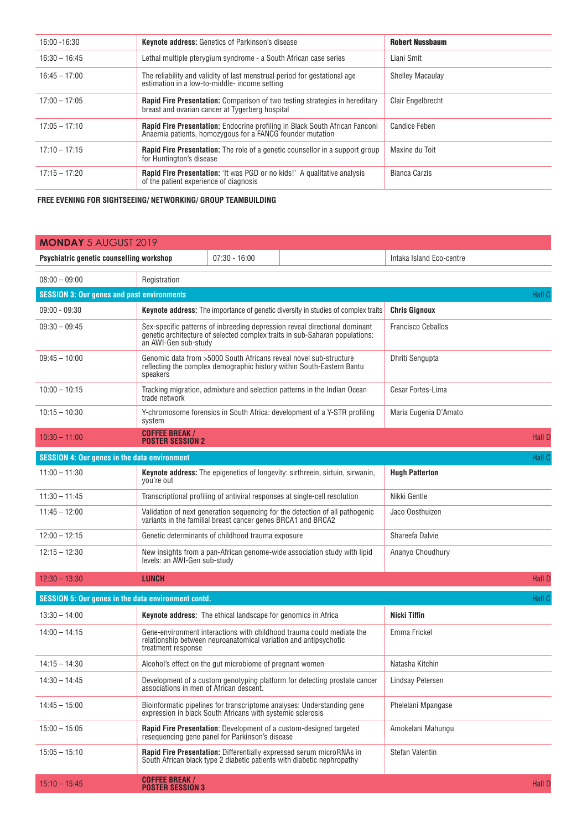| $16:00 - 16:30$ | <b>Keynote address:</b> Genetics of Parkinson's disease                                                                                         | <b>Robert Nussbaum</b>   |
|-----------------|-------------------------------------------------------------------------------------------------------------------------------------------------|--------------------------|
| $16:30 - 16:45$ | Lethal multiple pterygium syndrome - a South African case series                                                                                | Liani Smit               |
| $16:45 - 17:00$ | The reliability and validity of last menstrual period for gestational age<br>estimation in a low-to-middle- income setting                      | <b>Shelley Macaulay</b>  |
| $17:00 - 17:05$ | <b>Rapid Fire Presentation:</b> Comparison of two testing strategies in hereditary<br>breast and ovarian cancer at Tygerberg hospital           | <b>Clair Engelbrecht</b> |
| $17:05 - 17:10$ | <b>Rapid Fire Presentation:</b> Endocrine profiling in Black South African Fanconi<br>Anaemia patients, homozygous for a FANCG founder mutation | <b>Candice Feben</b>     |
| $17:10 - 17:15$ | <b>Rapid Fire Presentation:</b> The role of a genetic counsellor in a support group<br>for Huntington's disease                                 | Maxine du Toit           |
| $17:15 - 17:20$ | <b>Rapid Fire Presentation:</b> 'It was PGD or no kids!' A qualitative analysis<br>of the patient experience of diagnosis                       | Bianca Carzis            |

 **FREE EVENING FOR SIGHTSEEING/ NETWORKING/ GROUP TEAMBUILDING**

| <b>MONDAY 5 AUGUST 2019</b>                         |                                                                                                                      |                                                                                                                                                                                                                |                                                                                                                                                |                          |               |
|-----------------------------------------------------|----------------------------------------------------------------------------------------------------------------------|----------------------------------------------------------------------------------------------------------------------------------------------------------------------------------------------------------------|------------------------------------------------------------------------------------------------------------------------------------------------|--------------------------|---------------|
| Psychiatric genetic counselling workshop            |                                                                                                                      | $07:30 - 16:00$                                                                                                                                                                                                |                                                                                                                                                | Intaka Island Eco-centre |               |
| $08:00 - 09:00$                                     | Registration                                                                                                         |                                                                                                                                                                                                                |                                                                                                                                                |                          |               |
| <b>SESSION 3: Our genes and past environments</b>   |                                                                                                                      |                                                                                                                                                                                                                |                                                                                                                                                |                          | Hall C        |
| $09:00 - 09:30$                                     | <b>Keynote address:</b> The importance of genetic diversity in studies of complex traits<br><b>Chris Gignoux</b>     |                                                                                                                                                                                                                |                                                                                                                                                |                          |               |
| $09:30 - 09:45$                                     |                                                                                                                      | Sex-specific patterns of inbreeding depression reveal directional dominant<br><b>Francisco Ceballos</b><br>genetic architecture of selected complex traits in sub-Saharan populations:<br>an AWI-Gen sub-study |                                                                                                                                                |                          |               |
| $09:45 - 10:00$                                     | speakers                                                                                                             | Genomic data from >5000 South Africans reveal novel sub-structure<br>reflecting the complex demographic history within South-Eastern Bantu                                                                     |                                                                                                                                                |                          |               |
| $10:00 - 10:15$                                     | trade network                                                                                                        | Tracking migration, admixture and selection patterns in the Indian Ocean                                                                                                                                       |                                                                                                                                                |                          |               |
| $10:15 - 10:30$                                     | system                                                                                                               | Y-chromosome forensics in South Africa: development of a Y-STR profiling                                                                                                                                       |                                                                                                                                                |                          |               |
| $10:30 - 11:00$                                     | <b>COFFEE BREAK /</b><br><b>POSTER SESSION 2</b>                                                                     |                                                                                                                                                                                                                |                                                                                                                                                |                          | <b>Hall D</b> |
| <b>SESSION 4: Our genes in the data environment</b> |                                                                                                                      |                                                                                                                                                                                                                |                                                                                                                                                |                          | <b>Hall C</b> |
| $11:00 - 11:30$                                     | you're out                                                                                                           |                                                                                                                                                                                                                | <b>Keynote address:</b> The epigenetics of longevity: sirthreein, sirtuin, sirwanin,                                                           | <b>Hugh Patterton</b>    |               |
| $11:30 - 11:45$                                     |                                                                                                                      | Transcriptional profiling of antiviral responses at single-cell resolution                                                                                                                                     |                                                                                                                                                |                          |               |
| $11:45 - 12:00$                                     |                                                                                                                      | Validation of next generation sequencing for the detection of all pathogenic<br>variants in the familial breast cancer genes BRCA1 and BRCA2                                                                   |                                                                                                                                                | Jaco Oosthuizen          |               |
| $12:00 - 12:15$                                     | Genetic determinants of childhood trauma exposure                                                                    |                                                                                                                                                                                                                |                                                                                                                                                | Shareefa Dalvie          |               |
| $12:15 - 12:30$                                     | New insights from a pan-African genome-wide association study with lipid<br>levels: an AWI-Gen sub-study             |                                                                                                                                                                                                                |                                                                                                                                                | Ananyo Choudhury         |               |
| $12:30 - 13:30$                                     | <b>LUNCH</b>                                                                                                         |                                                                                                                                                                                                                |                                                                                                                                                |                          | <b>Hall D</b> |
| SESSION 5: Our genes in the data environment contd. |                                                                                                                      |                                                                                                                                                                                                                |                                                                                                                                                |                          | <b>Hall C</b> |
| $13:30 - 14:00$                                     |                                                                                                                      | <b>Keynote address:</b> The ethical landscape for genomics in Africa                                                                                                                                           |                                                                                                                                                | <b>Nicki Tiffin</b>      |               |
| $14:00 - 14:15$                                     | treatment response                                                                                                   |                                                                                                                                                                                                                | Gene-environment interactions with childhood trauma could mediate the<br>relationship between neuroanatomical variation and antipsychotic      | Emma Frickel             |               |
| $14:15 - 14:30$                                     |                                                                                                                      | Alcohol's effect on the gut microbiome of pregnant women                                                                                                                                                       |                                                                                                                                                | Natasha Kitchin          |               |
| $14:30 - 14:45$                                     | Development of a custom genotyping platform for detecting prostate cancer<br>associations in men of African descent. |                                                                                                                                                                                                                | Lindsay Petersen                                                                                                                               |                          |               |
| $14:45 - 15:00$                                     |                                                                                                                      | Bioinformatic pipelines for transcriptome analyses: Understanding gene<br>expression in black South Africans with systemic sclerosis                                                                           |                                                                                                                                                | Phelelani Mpangase       |               |
| $15:00 - 15:05$                                     |                                                                                                                      | resequencing gene panel for Parkinson's disease                                                                                                                                                                | Rapid Fire Presentation: Development of a custom-designed targeted                                                                             | Amokelani Mahungu        |               |
| $15:05 - 15:10$                                     |                                                                                                                      |                                                                                                                                                                                                                | Rapid Fire Presentation: Differentially expressed serum microRNAs in<br>South African black type 2 diabetic patients with diabetic nephropathy | Stefan Valentin          |               |
| $15:10 - 15:45$                                     | <b>COFFEE BREAK/</b><br><b>POSTER SESSION 3</b>                                                                      |                                                                                                                                                                                                                |                                                                                                                                                |                          | <b>Hall D</b> |